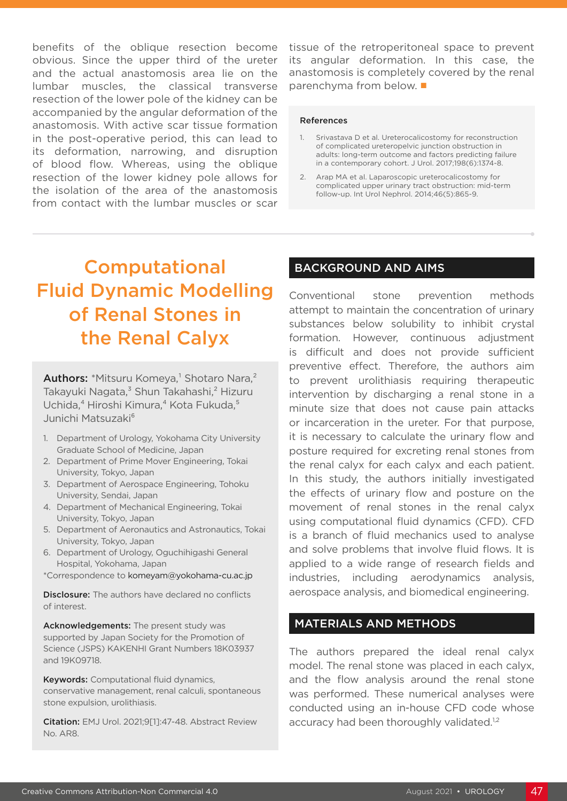benefits of the oblique resection become obvious. Since the upper third of the ureter and the actual anastomosis area lie on the lumbar muscles, the classical transverse resection of the lower pole of the kidney can be accompanied by the angular deformation of the anastomosis. With active scar tissue formation in the post-operative period, this can lead to its deformation, narrowing, and disruption of blood flow. Whereas, using the oblique resection of the lower kidney pole allows for the isolation of the area of the anastomosis from contact with the lumbar muscles or scar

tissue of the retroperitoneal space to prevent its angular deformation. In this case, the anastomosis is completely covered by the renal parenchyma from below. ■

#### References

- 1. Srivastava D et al. Ureterocalicostomy for reconstruction of complicated ureteropelvic junction obstruction in adults: long-term outcome and factors predicting failure in a contemporary cohort. J Urol. 2017;198(6):1374-8.
- 2. Arap MA et al. Laparoscopic ureterocalicostomy for complicated upper urinary tract obstruction: mid-term follow-up. Int Urol Nephrol. 2014;46(5):865-9.

# Computational Fluid Dynamic Modelling of Renal Stones in the Renal Calyx

Authors: \*Mitsuru Komeya,<sup>1</sup> Shotaro Nara,<sup>2</sup> Takayuki Nagata,<sup>3</sup> Shun Takahashi,<sup>2</sup> Hizuru Uchida,<sup>4</sup> Hiroshi Kimura,<sup>4</sup> Kota Fukuda,<sup>5</sup> Junichi Matsuzaki<sup>6</sup>

- 1. Department of Urology, Yokohama City University Graduate School of Medicine, Japan
- 2. Department of Prime Mover Engineering, Tokai University, Tokyo, Japan
- 3. Department of Aerospace Engineering, Tohoku University, Sendai, Japan
- 4. Department of Mechanical Engineering, Tokai University, Tokyo, Japan
- 5. Department of Aeronautics and Astronautics, Tokai University, Tokyo, Japan
- 6. Department of Urology, Oguchihigashi General Hospital, Yokohama, Japan
- \*Correspondence to komeyam@yokohama-cu.ac.jp

**Disclosure:** The authors have declared no conflicts of interest.

Acknowledgements: The present study was supported by Japan Society for the Promotion of Science (JSPS) KAKENHI Grant Numbers 18K03937 and 19K09718.

Keywords: Computational fluid dynamics, conservative management, renal calculi, spontaneous stone expulsion, urolithiasis.

Citation: EMJ Urol. 2021;9[1]:47-48. Abstract Review No. AR8.

#### BACKGROUND AND AIMS

Conventional stone prevention methods attempt to maintain the concentration of urinary substances below solubility to inhibit crystal formation. However, continuous adjustment is difficult and does not provide sufficient preventive effect. Therefore, the authors aim to prevent urolithiasis requiring therapeutic intervention by discharging a renal stone in a minute size that does not cause pain attacks or incarceration in the ureter. For that purpose, it is necessary to calculate the urinary flow and posture required for excreting renal stones from the renal calyx for each calyx and each patient. In this study, the authors initially investigated the effects of urinary flow and posture on the movement of renal stones in the renal calyx using computational fluid dynamics (CFD). CFD is a branch of fluid mechanics used to analyse and solve problems that involve fluid flows. It is applied to a wide range of research fields and industries, including aerodynamics analysis, aerospace analysis, and biomedical engineering.

#### MATERIALS AND METHODS

The authors prepared the ideal renal calyx model. The renal stone was placed in each calyx, and the flow analysis around the renal stone was performed. These numerical analyses were conducted using an in-house CFD code whose accuracy had been thoroughly validated.<sup>1,2</sup>